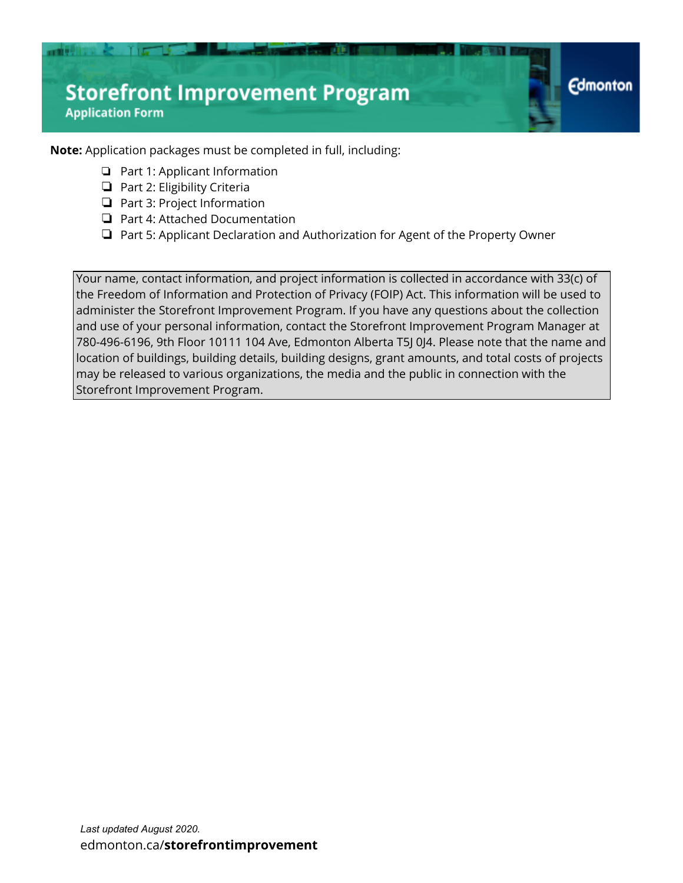**Note:** Application packages must be completed in full, including:

- ❏ Part 1: Applicant Information
- ❏ Part 2: Eligibility Criteria

 $115$ 

■■東京日本学

- ❏ Part 3: Project Information
- ❏ Part 4: Attached Documentation
- ❏ Part 5: Applicant Declaration and Authorization for Agent of the Property Owner

**Edmonton** 

Your name, contact information, and project information is collected in accordance with 33(c) of the Freedom of Information and Protection of Privacy (FOIP) Act. This information will be used to administer the Storefront Improvement Program. If you have any questions about the collection and use of your personal information, contact the Storefront Improvement Program Manager at 780-496-6196, 9th Floor 10111 104 Ave, Edmonton Alberta T5J 0J4. Please note that the name and location of buildings, building details, building designs, grant amounts, and total costs of projects may be released to various organizations, the media and the public in connection with the Storefront Improvement Program.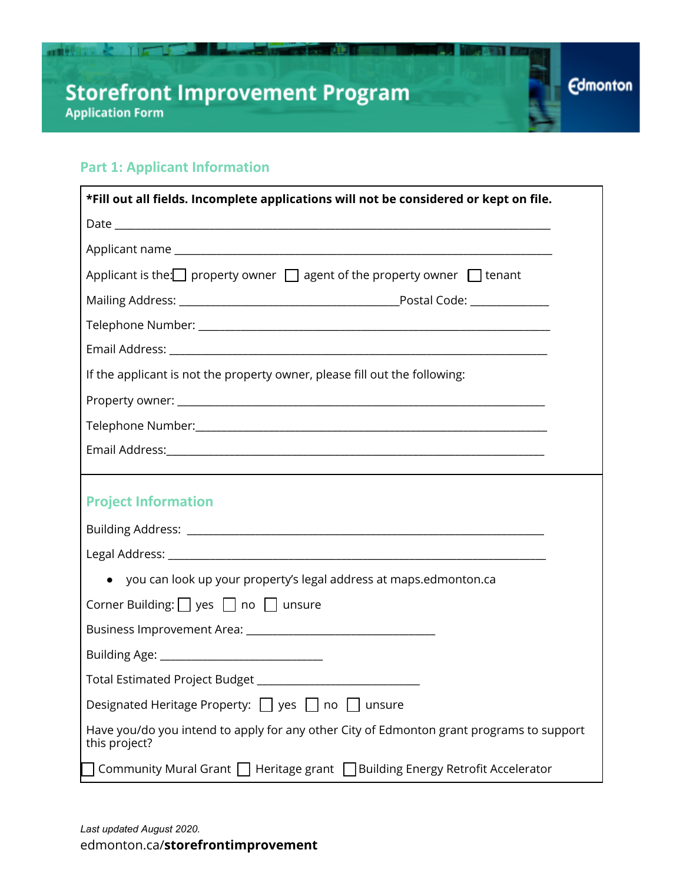#### **Part 1: Applicant Information**

■■理能量 <◎ 千両 →

| *Fill out all fields. Incomplete applications will not be considered or kept on file.                     |  |  |
|-----------------------------------------------------------------------------------------------------------|--|--|
|                                                                                                           |  |  |
|                                                                                                           |  |  |
| Applicant is the: property owner $\Box$ agent of the property owner $\Box$ tenant                         |  |  |
|                                                                                                           |  |  |
|                                                                                                           |  |  |
|                                                                                                           |  |  |
| If the applicant is not the property owner, please fill out the following:                                |  |  |
|                                                                                                           |  |  |
|                                                                                                           |  |  |
|                                                                                                           |  |  |
|                                                                                                           |  |  |
| <b>Project Information</b>                                                                                |  |  |
|                                                                                                           |  |  |
|                                                                                                           |  |  |
| • you can look up your property's legal address at maps.edmonton.ca                                       |  |  |
| Corner Building: $\Box$ yes $\Box$ no $\Box$ unsure                                                       |  |  |
|                                                                                                           |  |  |
| Building Age: __________________________________                                                          |  |  |
| Total Estimated Project Budget _____________________________                                              |  |  |
| Designated Heritage Property: U yes U no<br>unsure                                                        |  |  |
| Have you/do you intend to apply for any other City of Edmonton grant programs to support<br>this project? |  |  |
| Community Mural Grant   Heritage grant   Building Energy Retrofit Accelerator                             |  |  |

лв

33 L

**Edmonton**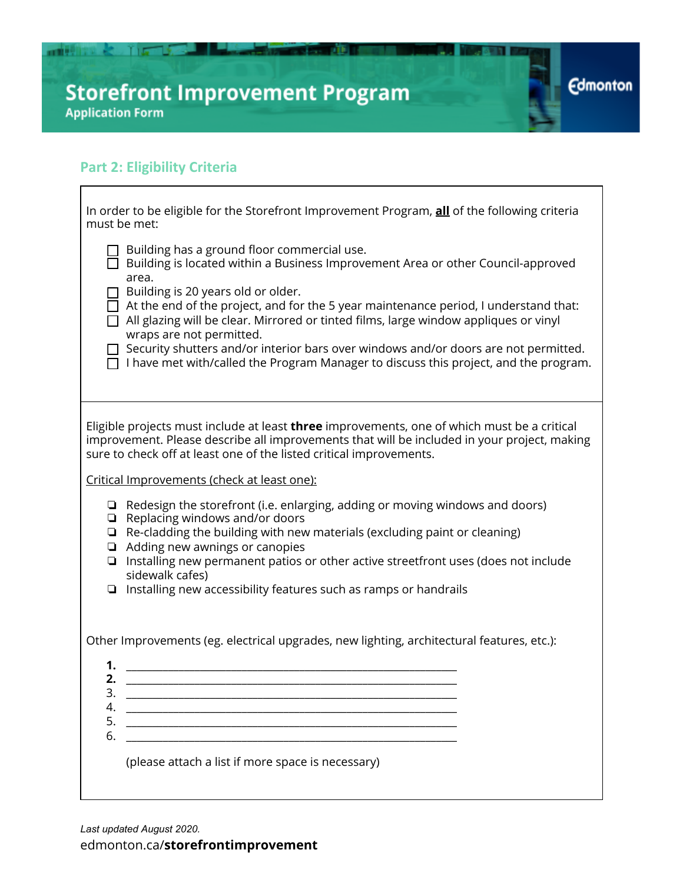#### **Part 2: Eligibility Criteria**

 $\overline{\Gamma}$ 

| In order to be eligible for the Storefront Improvement Program, all of the following criteria<br>must be met:                                                                                                                                                                                                                                                                                                                                                                                                                                                                                  |  |  |
|------------------------------------------------------------------------------------------------------------------------------------------------------------------------------------------------------------------------------------------------------------------------------------------------------------------------------------------------------------------------------------------------------------------------------------------------------------------------------------------------------------------------------------------------------------------------------------------------|--|--|
| Building has a ground floor commercial use.<br>$\Box$ Building is located within a Business Improvement Area or other Council-approved<br>area.<br>Building is 20 years old or older.<br>$\Box$ At the end of the project, and for the 5 year maintenance period, I understand that:<br>$\Box$ All glazing will be clear. Mirrored or tinted films, large window appliques or vinyl<br>wraps are not permitted.<br>Security shutters and/or interior bars over windows and/or doors are not permitted.<br>I have met with/called the Program Manager to discuss this project, and the program. |  |  |
|                                                                                                                                                                                                                                                                                                                                                                                                                                                                                                                                                                                                |  |  |
| Eligible projects must include at least three improvements, one of which must be a critical<br>improvement. Please describe all improvements that will be included in your project, making<br>sure to check off at least one of the listed critical improvements.                                                                                                                                                                                                                                                                                                                              |  |  |
| Critical Improvements (check at least one):                                                                                                                                                                                                                                                                                                                                                                                                                                                                                                                                                    |  |  |
| $\Box$ Redesign the storefront (i.e. enlarging, adding or moving windows and doors)<br>$\Box$ Replacing windows and/or doors<br>$\Box$ Re-cladding the building with new materials (excluding paint or cleaning)<br>Adding new awnings or canopies<br>$\Box$<br>Installing new permanent patios or other active streetfront uses (does not include<br>$\Box$<br>sidewalk cafes)<br>$\Box$ Installing new accessibility features such as ramps or handrails                                                                                                                                     |  |  |
| Other Improvements (eg. electrical upgrades, new lighting, architectural features, etc.):                                                                                                                                                                                                                                                                                                                                                                                                                                                                                                      |  |  |
| 1.<br>2.<br>4.<br><u> 1980 - Jan Samuel Barbara, martin da shekara ta 1980 - An tsara tsara tsara tsara tsara tsara tsara tsara tsa</u><br>5.<br><u> 1980 - Johann John Stein, markin film yn y brening yn y brening yn y brening yn y brening y brening yn y bre</u><br>6.<br>and the control of the control of the control of the control of the control of the control of the control of the<br>(please attach a list if more space is necessary)                                                                                                                                           |  |  |

иm

31 L

**Edmonton** 

 $\overline{\phantom{a}}$ 

*Last updated August 2020.* [edmonton.ca/](http://edmonton.ca/storefrontimprovement)**[storefrontimprovement](http://edmonton.ca/storefrontimprovement)**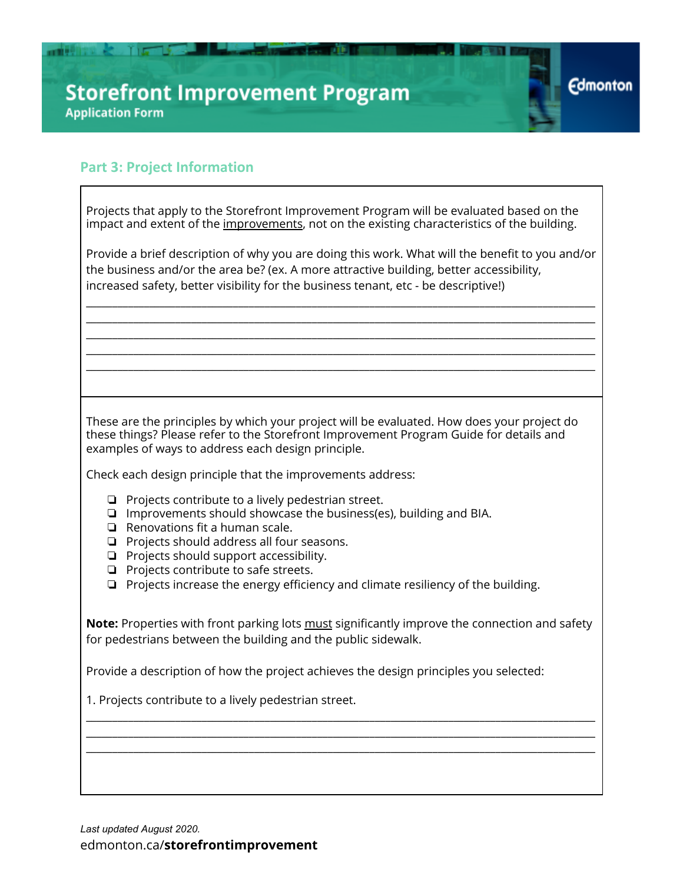#### **Part 3: Project Information**

■■理想集 & 了」 「

| Projects that apply to the Storefront Improvement Program will be evaluated based on the<br>impact and extent of the improvements, not on the existing characteristics of the building.                                                                                           |  |  |  |  |
|-----------------------------------------------------------------------------------------------------------------------------------------------------------------------------------------------------------------------------------------------------------------------------------|--|--|--|--|
| Provide a brief description of why you are doing this work. What will the benefit to you and/or<br>the business and/or the area be? (ex. A more attractive building, better accessibility,<br>increased safety, better visibility for the business tenant, etc - be descriptive!) |  |  |  |  |
|                                                                                                                                                                                                                                                                                   |  |  |  |  |
|                                                                                                                                                                                                                                                                                   |  |  |  |  |
|                                                                                                                                                                                                                                                                                   |  |  |  |  |
|                                                                                                                                                                                                                                                                                   |  |  |  |  |
|                                                                                                                                                                                                                                                                                   |  |  |  |  |
| These are the principles by which your project will be evaluated. How does your project do<br>these things? Please refer to the Storefront Improvement Program Guide for details and<br>examples of ways to address each design principle.                                        |  |  |  |  |
| Check each design principle that the improvements address:                                                                                                                                                                                                                        |  |  |  |  |
| $\Box$ Projects contribute to a lively pedestrian street.<br>$\Box$ Improvements should showcase the business(es), building and BIA.<br>$\Box$ Renovations fit a human scale.                                                                                                     |  |  |  |  |
| $\Box$ Projects should address all four seasons.                                                                                                                                                                                                                                  |  |  |  |  |
| $\Box$ Projects should support accessibility.<br>$\Box$ Projects contribute to safe streets.                                                                                                                                                                                      |  |  |  |  |
| Projects increase the energy efficiency and climate resiliency of the building.                                                                                                                                                                                                   |  |  |  |  |
| Note: Properties with front parking lots must significantly improve the connection and safety<br>for pedestrians between the building and the public sidewalk.                                                                                                                    |  |  |  |  |
| Provide a description of how the project achieves the design principles you selected:                                                                                                                                                                                             |  |  |  |  |
| 1. Projects contribute to a lively pedestrian street.                                                                                                                                                                                                                             |  |  |  |  |
|                                                                                                                                                                                                                                                                                   |  |  |  |  |
|                                                                                                                                                                                                                                                                                   |  |  |  |  |
|                                                                                                                                                                                                                                                                                   |  |  |  |  |

**Edmonton** 

*Last updated August 2020.* [edmonton.ca/](http://edmonton.ca/storefrontimprovement)**[storefrontimprovement](http://edmonton.ca/storefrontimprovement)**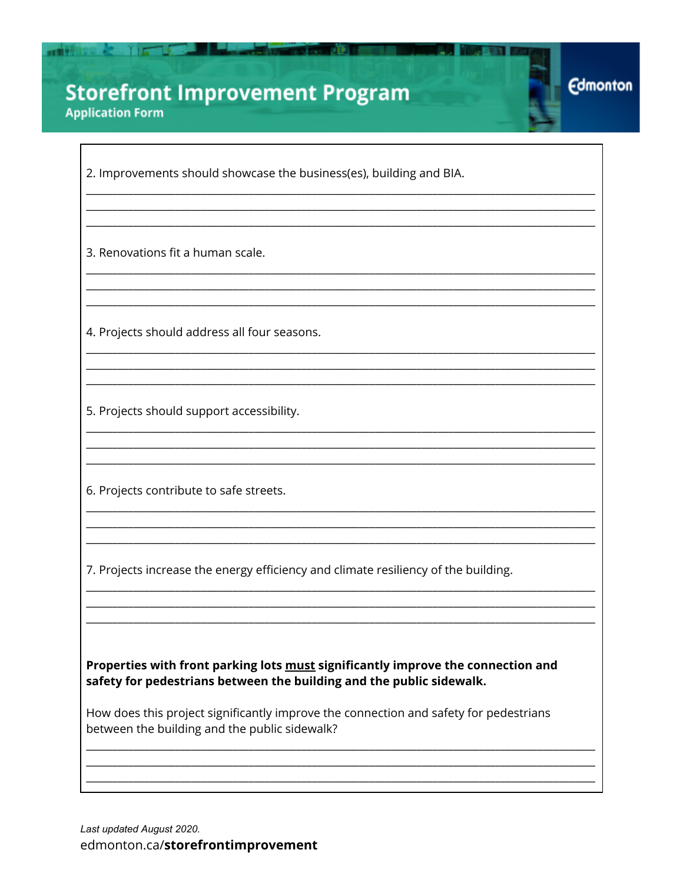2. Improvements should showcase the business(es), building and BIA.

**Edmonton** 

3. Renovations fit a human scale.

**THE REAL PROPERTY OF STATE** 

4. Projects should address all four seasons.

5. Projects should support accessibility.

6. Projects contribute to safe streets.

7. Projects increase the energy efficiency and climate resiliency of the building.

Properties with front parking lots must significantly improve the connection and safety for pedestrians between the building and the public sidewalk.

How does this project significantly improve the connection and safety for pedestrians between the building and the public sidewalk?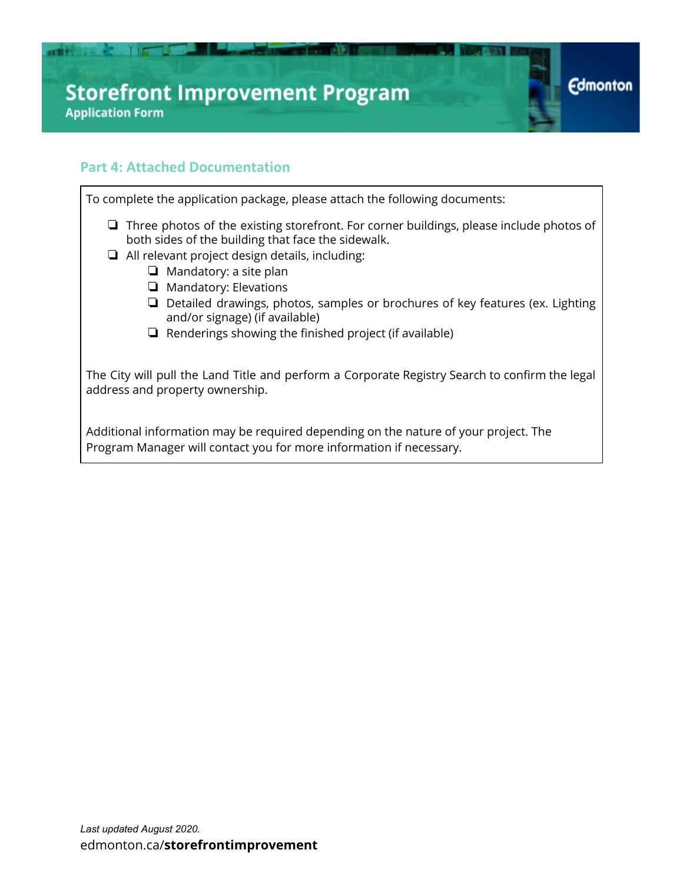#### **Part 4: Attached Documentation**

■ 東東県 東京 一 大人

 $\blacksquare$ 

To complete the application package, please attach the following documents:

- ❏ Three photos of the existing storefront. For corner buildings, please include photos of both sides of the building that face the sidewalk.
- ❏ All relevant project design details, including:
	- ❏ Mandatory: a site plan
	- ❏ Mandatory: Elevations
	- ❏ Detailed drawings, photos, samples or brochures of key features (ex. Lighting and/or signage) (if available)

**Edmonton** 

❏ Renderings showing the finished project (if available)

The City will pull the Land Title and perform a Corporate Registry Search to confirm the legal address and property ownership.

Additional information may be required depending on the nature of your project. The Program Manager will contact you for more information if necessary.